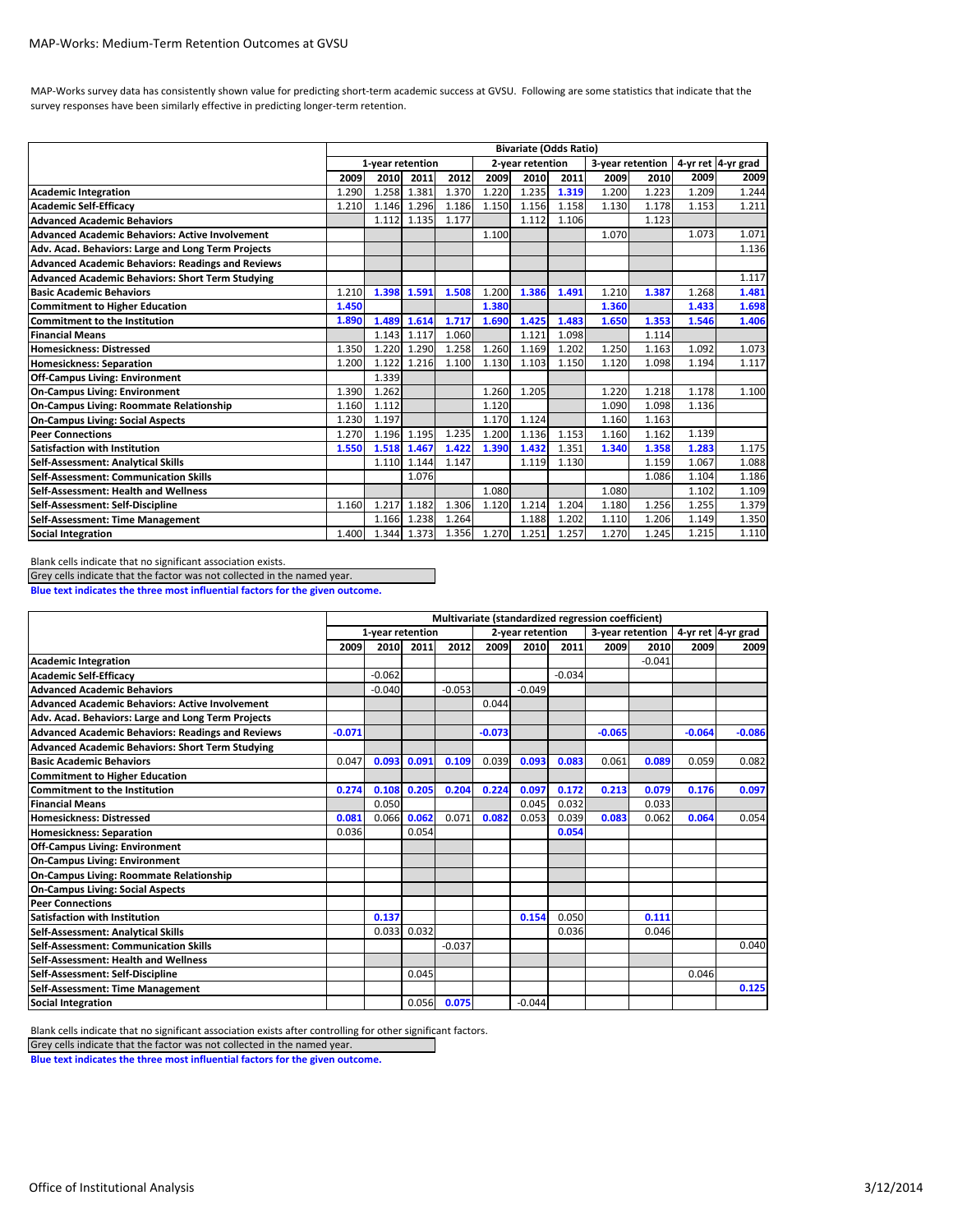## MAP‐Works: Medium‐Term Retention Outcomes at GVSU

MAP-Works survey data has consistently shown value for predicting short-term academic success at GVSU. Following are some statistics that indicate that the survey responses have been similarly effective in predicting longer-term retention.

|                                                          | <b>Bivariate (Odds Ratio)</b> |       |       |       |                  |       |                  |       |       |                    |       |
|----------------------------------------------------------|-------------------------------|-------|-------|-------|------------------|-------|------------------|-------|-------|--------------------|-------|
|                                                          | 1-year retention              |       |       |       | 2-year retention |       | 3-year retention |       |       | 4-yr ret 4-yr grad |       |
|                                                          | 2009                          | 2010  | 2011  | 2012  | 2009             | 2010  | 2011             | 2009  | 2010  | 2009               | 2009  |
| <b>Academic Integration</b>                              | 1.290                         | 1.258 | 1.381 | 1.370 | 1.220            | 1.235 | 1.319            | 1.200 | 1.223 | 1.209              | 1.244 |
| <b>Academic Self-Efficacy</b>                            | 1.210                         | 1.146 | 1.296 | 1.186 | 1.150            | 1.156 | 1.158            | 1.130 | 1.178 | 1.153              | 1.211 |
| <b>Advanced Academic Behaviors</b>                       |                               | 1.112 | 1.135 | 1.177 |                  | 1.112 | 1.106            |       | 1.123 |                    |       |
| <b>Advanced Academic Behaviors: Active Involvement</b>   |                               |       |       |       | 1.100            |       |                  | 1.070 |       | 1.073              | 1.071 |
| Adv. Acad. Behaviors: Large and Long Term Projects       |                               |       |       |       |                  |       |                  |       |       |                    | 1.136 |
| <b>Advanced Academic Behaviors: Readings and Reviews</b> |                               |       |       |       |                  |       |                  |       |       |                    |       |
| <b>Advanced Academic Behaviors: Short Term Studying</b>  |                               |       |       |       |                  |       |                  |       |       |                    | 1.117 |
| <b>Basic Academic Behaviors</b>                          | 1.210                         | 1.398 | 1.591 | 1.508 | 1.200            | 1.386 | 1.491            | 1.210 | 1.387 | 1.268              | 1.481 |
| <b>Commitment to Higher Education</b>                    | 1.450                         |       |       |       | 1.380            |       |                  | 1.360 |       | 1.433              | 1.698 |
| <b>Commitment to the Institution</b>                     | 1.890                         | 1.489 | 1.614 | 1.717 | 1.690            | 1.425 | 1.483            | 1.650 | 1.353 | 1.546              | 1.406 |
| <b>Financial Means</b>                                   |                               | 1.143 | 1.117 | 1.060 |                  | 1.121 | 1.098            |       | 1.114 |                    |       |
| <b>Homesickness: Distressed</b>                          | 1.350                         | 1.220 | 1.290 | 1.258 | 1.260            | 1.169 | 1.202            | 1.250 | 1.163 | 1.092              | 1.073 |
| <b>Homesickness: Separation</b>                          | 1.200                         | 1.122 | 1.216 | 1.100 | 1.130            | 1.103 | 1.150            | 1.120 | 1.098 | 1.194              | 1.117 |
| <b>Off-Campus Living: Environment</b>                    |                               | 1.339 |       |       |                  |       |                  |       |       |                    |       |
| <b>On-Campus Living: Environment</b>                     | 1.390                         | 1.262 |       |       | 1.260            | 1.205 |                  | 1.220 | 1.218 | 1.178              | 1.100 |
| On-Campus Living: Roommate Relationship                  | 1.160                         | 1.112 |       |       | 1.120            |       |                  | 1.090 | 1.098 | 1.136              |       |
| <b>On-Campus Living: Social Aspects</b>                  | 1.230                         | 1.197 |       |       | 1.170            | 1.124 |                  | 1.160 | 1.163 |                    |       |
| <b>Peer Connections</b>                                  | 1.270                         | 1.196 | 1.195 | 1.235 | 1.200            | 1.136 | 1.153            | 1.160 | 1.162 | 1.139              |       |
| <b>Satisfaction with Institution</b>                     | 1.550                         | 1.518 | 1.467 | 1.422 | 1.390            | 1.432 | 1.351            | 1.340 | 1.358 | 1.283              | 1.175 |
| Self-Assessment: Analytical Skills                       |                               | 1.110 | 1.144 | 1.147 |                  | 1.119 | 1.130            |       | 1.159 | 1.067              | 1.088 |
| Self-Assessment: Communication Skills                    |                               |       | 1.076 |       |                  |       |                  |       | 1.086 | 1.104              | 1.186 |
| Self-Assessment: Health and Wellness                     |                               |       |       |       | 1.080            |       |                  | 1.080 |       | 1.102              | 1.109 |
| Self-Assessment: Self-Discipline                         | 1.160                         | 1.217 | 1.182 | 1.306 | 1.120            | 1.214 | 1.204            | 1.180 | 1.256 | 1.255              | 1.379 |
| Self-Assessment: Time Management                         |                               | 1.166 | 1.238 | 1.264 |                  | 1.188 | 1.202            | 1.110 | 1.206 | 1.149              | 1.350 |
| <b>Social Integration</b>                                | 1.400                         | 1.344 | 1.373 | 1.356 | 1.270            | 1.251 | 1.257            | 1.270 | 1.245 | 1.215              | 1.110 |

Blank cells indicate that no significant association exists.

Grey cells indicate that the factor was not collected in the named year.

**Blue text indicates the three most influential factors for the given outcome.**

|                                                          | Multivariate (standardized regression coefficient) |          |       |          |                  |          |                  |          |          |                    |          |
|----------------------------------------------------------|----------------------------------------------------|----------|-------|----------|------------------|----------|------------------|----------|----------|--------------------|----------|
|                                                          | 1-year retention                                   |          |       |          | 2-year retention |          | 3-year retention |          |          | 4-yr ret 4-yr grad |          |
|                                                          | 2009                                               | 2010     | 2011  | 2012     | 2009             | 2010     | 2011             | 2009     | 2010     | 2009               | 2009     |
| <b>Academic Integration</b>                              |                                                    |          |       |          |                  |          |                  |          | $-0.041$ |                    |          |
| <b>Academic Self-Efficacy</b>                            |                                                    | $-0.062$ |       |          |                  |          | $-0.034$         |          |          |                    |          |
| <b>Advanced Academic Behaviors</b>                       |                                                    | $-0.040$ |       | $-0.053$ |                  | $-0.049$ |                  |          |          |                    |          |
| <b>Advanced Academic Behaviors: Active Involvement</b>   |                                                    |          |       |          | 0.044            |          |                  |          |          |                    |          |
| Adv. Acad. Behaviors: Large and Long Term Projects       |                                                    |          |       |          |                  |          |                  |          |          |                    |          |
| <b>Advanced Academic Behaviors: Readings and Reviews</b> | $-0.071$                                           |          |       |          | $-0.073$         |          |                  | $-0.065$ |          | $-0.064$           | $-0.086$ |
| <b>Advanced Academic Behaviors: Short Term Studying</b>  |                                                    |          |       |          |                  |          |                  |          |          |                    |          |
| <b>Basic Academic Behaviors</b>                          | 0.047                                              | 0.093    | 0.091 | 0.109    | 0.039            | 0.093    | 0.083            | 0.061    | 0.089    | 0.059              | 0.082    |
| <b>Commitment to Higher Education</b>                    |                                                    |          |       |          |                  |          |                  |          |          |                    |          |
| <b>Commitment to the Institution</b>                     | 0.274                                              | 0.108    | 0.205 | 0.204    | 0.224            | 0.097    | 0.172            | 0.213    | 0.079    | 0.176              | 0.097    |
| <b>Financial Means</b>                                   |                                                    | 0.050    |       |          |                  | 0.045    | 0.032            |          | 0.033    |                    |          |
| <b>Homesickness: Distressed</b>                          | 0.081                                              | 0.066    | 0.062 | 0.071    | 0.082            | 0.053    | 0.039            | 0.083    | 0.062    | 0.064              | 0.054    |
| <b>Homesickness: Separation</b>                          | 0.036                                              |          | 0.054 |          |                  |          | 0.054            |          |          |                    |          |
| <b>Off-Campus Living: Environment</b>                    |                                                    |          |       |          |                  |          |                  |          |          |                    |          |
| <b>On-Campus Living: Environment</b>                     |                                                    |          |       |          |                  |          |                  |          |          |                    |          |
| <b>On-Campus Living: Roommate Relationship</b>           |                                                    |          |       |          |                  |          |                  |          |          |                    |          |
| <b>On-Campus Living: Social Aspects</b>                  |                                                    |          |       |          |                  |          |                  |          |          |                    |          |
| <b>Peer Connections</b>                                  |                                                    |          |       |          |                  |          |                  |          |          |                    |          |
| <b>Satisfaction with Institution</b>                     |                                                    | 0.137    |       |          |                  | 0.154    | 0.050            |          | 0.111    |                    |          |
| Self-Assessment: Analytical Skills                       |                                                    | 0.033    | 0.032 |          |                  |          | 0.036            |          | 0.046    |                    |          |
| Self-Assessment: Communication Skills                    |                                                    |          |       | $-0.037$ |                  |          |                  |          |          |                    | 0.040    |
| Self-Assessment: Health and Wellness                     |                                                    |          |       |          |                  |          |                  |          |          |                    |          |
| Self-Assessment: Self-Discipline                         |                                                    |          | 0.045 |          |                  |          |                  |          |          | 0.046              |          |
| Self-Assessment: Time Management                         |                                                    |          |       |          |                  |          |                  |          |          |                    | 0.125    |
| <b>Social Integration</b>                                |                                                    |          | 0.056 | 0.075    |                  | $-0.044$ |                  |          |          |                    |          |

Blank cells indicate that no significant association exists after controlling for other significant factors.

Grey cells indicate that the factor was not collected in the named year.

**Blue text indicates the three most influential factors for the given outcome.**